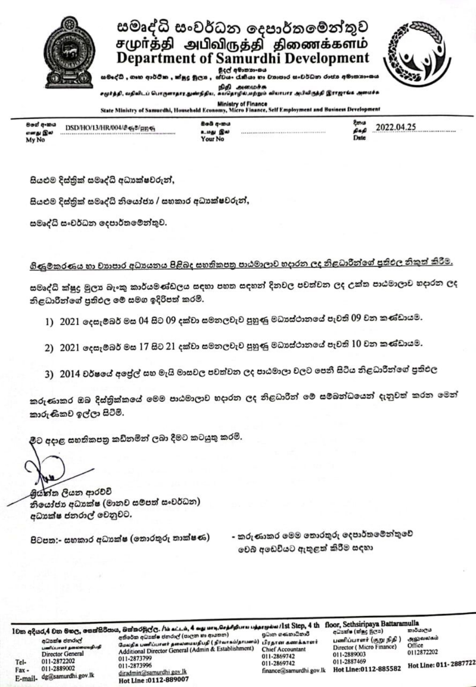

.<br>සමදේධී , ගෘහ ආර්ථික , ක්ෂුදු මූලය , ස්වයං රැකියා හා වාහාපාර සංවර්ධන රාජය අමාතනාංශය

.<br>சமுர்த்தி, வதிவிடப் பொருளாதார துண்நிதிய, கயதொழில்,மற்றும் வியாபார அபிவிருத்தி இராஜாங்க அமைச்சு

Ministry of Finance<br>State Ministry of Samurdhi, Household Economy, Micro Finance, Self Employment and Business Development

| මගේ අංකය<br>எனது இல | DSD/HO/13/HR/004/8 68/ду 68 |
|---------------------|-----------------------------|
| My No               |                             |

Bob q-mu உமது இல **Your No** 

2022.04.25 pap

සියළුම දිස්තුික් සමෘද්ධි අධාාක්ෂවරුන්,

සියළුම දිස්තික් සමෘද්ධි නියෝජා / සහකාර අධාක්ෂවරුන්,

සමෘද්ධි සංවර්ධන දෙපාර්තමේන්තුව.

ගිණුමකරණය හා වාහපාර අධාහනය පිළිබද සහතිකපතු පාඨමාලාව හදාරන ලද නිළධාරීන්ගේ පුතිඵල නිකුත් කිරීම.

සමෘද්ධි ක්ෂුදු මුලා බැංකු කාර්යමණ්ඩලය සඳහා පහත සඳහන් දිනවල පවත්වන ලද උක්ත පාඨමාලාව හදාරන ලද නිළධාරීන්ගේ පුතිඵල මේ සමග ඉදිරිපත් කරමි.

- 1) 2021 දෙසැම්බර් මස 04 සිට 09 දක්වා සමනලවැව පුහුණු මධාස්ථානයේ පැවති 09 වන කණ්ඩායම.
- 2) 2021 දෙසැම්බර් මස 17 සිට 21 දක්වා සමනලවැව පුහුණු මධාස්ථානයේ පැවති 10 වන කණ්ඩායම.
- 3) 2014 වර්ෂයේ අපේල් සහ මැයි මාසවල පවත්වන ලද පාඨමාලා වලට පෙනී සිටිය නිළධාරීන්ගේ පුතිඵල

කරුණාකර ඔබ දිස්තුික්කයේ මෙම පාඨමාලාව හදාරන ලද නිළධාරීන් මේ සම්බන්ධයෙන් දැනුවත් කරන මෙන් කාරුණිකව ඉල්ලා සිටිමි.

මීට අදාළ සහතිකපතු කඩිනමින් ලබා දීමට කටයුතු කරමි.

මුග්ත්ත ලියන ආරච්චි නියෝජා අධාකේෂ (මානව සම්පත් සංවර්ධන) අධාක්ෂ ජනරාල් වෙනුවට.

පිටපත:- සහකාර අධාාක්ෂ (තොරතුරු තාක්ෂණ)

- කරුණාකර මෙම තොරතුරු දෙපාර්තමේන්තුවේ වෙබ් අඩෙවියට ඇතුළත් කිරීම සදහා

1වක අදියර,4 වන මහල, සෙක්සිරිපාය, බක්තරමුල්ල. /bi aci.i.u, 4 agu uru, செத்திதியாய பத்தாரும்ம /1st Step, 4 th floor, Sethsiripaya Battaramulla අධායක්ෂ ජනරාල්

umflourert geneemen<br>Director General Tel-011-2872202 011-2889002  $Fax -$ E-mail- dg@samurdhi.gov.lk

අතිරේක අධ්යක්ෂ ජනරාල් (පාලන හා ආයතන) மேலதிக் பணிப்பாளர் தலைமையதிபதி ( நிர்வாகம்/தாபனம்). பிரதான கணக்காளர் Additional Director General (Admin & Establishment) 011-2873799 011-2873996 diradmin@samurdhi.gov.lk Hot Line: 0112-889007

පුධාන ගණකාධිකාරී **Chief Accountant** 011-2869742 011-2869742 finance@samurdhi.gov.lk Hot Line:0112-885582

பனிப்பாளர் (குறு நிதி ) Director (Micro Finance) 011-2889003 011-2887469

කාර්යාලය அலுவலகம் Office 0112872202

Hot Line: 011-2887722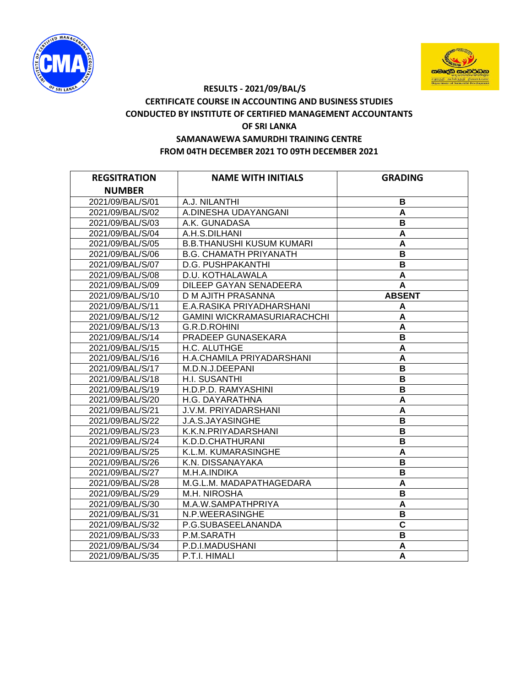



## **RESULTS - 2021/09/BAL/S CERTIFICATE COURSE IN ACCOUNTING AND BUSINESS STUDIES CONDUCTED BY INSTITUTE OF CERTIFIED MANAGEMENT ACCOUNTANTS OF SRI LANKA SAMANAWEWA SAMURDHI TRAINING CENTRE FROM 04TH DECEMBER 2021 TO 09TH DECEMBER 2021**

| <b>REGSITRATION</b> | <b>NAME WITH INITIALS</b>          | <b>GRADING</b>          |
|---------------------|------------------------------------|-------------------------|
| <b>NUMBER</b>       |                                    |                         |
| 2021/09/BAL/S/01    | A.J. NILANTHI                      | В                       |
| 2021/09/BAL/S/02    | A.DINESHA UDAYANGANI               | A                       |
| 2021/09/BAL/S/03    | A.K. GUNADASA                      | B                       |
| 2021/09/BAL/S/04    | A.H.S.DILHANI                      | A                       |
| 2021/09/BAL/S/05    | <b>B.B.THANUSHI KUSUM KUMARI</b>   | A                       |
| 2021/09/BAL/S/06    | <b>B.G. CHAMATH PRIYANATH</b>      | B                       |
| 2021/09/BAL/S/07    | D.G. PUSHPAKANTHI                  | B                       |
| 2021/09/BAL/S/08    | D.U. KOTHALAWALA                   | A                       |
| 2021/09/BAL/S/09    | DILEEP GAYAN SENADEERA             | A                       |
| 2021/09/BAL/S/10    | D M AJITH PRASANNA                 | <b>ABSENT</b>           |
| 2021/09/BAL/S/11    | E.A.RASIKA PRIYADHARSHANI          | A                       |
| 2021/09/BAL/S/12    | <b>GAMINI WICKRAMASURIARACHCHI</b> | A                       |
| 2021/09/BAL/S/13    | G.R.D.ROHINI                       | A                       |
| 2021/09/BAL/S/14    | PRADEEP GUNASEKARA                 | B                       |
| 2021/09/BAL/S/15    | H.C. ALUTHGE                       | A                       |
| 2021/09/BAL/S/16    | H.A.CHAMILA PRIYADARSHANI          | A                       |
| 2021/09/BAL/S/17    | M.D.N.J.DEEPANI                    | B                       |
| 2021/09/BAL/S/18    | H.I. SUSANTHI                      | B                       |
| 2021/09/BAL/S/19    | H.D.P.D. RAMYASHINI                | B                       |
| 2021/09/BAL/S/20    | H.G. DAYARATHNA                    | $\overline{\mathsf{A}}$ |
| 2021/09/BAL/S/21    | J.V.M. PRIYADARSHANI               | A                       |
| 2021/09/BAL/S/22    | J.A.S.JAYASINGHE                   | B                       |
| 2021/09/BAL/S/23    | K.K.N.PRIYADARSHANI                | B                       |
| 2021/09/BAL/S/24    | K.D.D.CHATHURANI                   | $\, {\bf B}$            |
| 2021/09/BAL/S/25    | K.L.M. KUMARASINGHE                | A                       |
| 2021/09/BAL/S/26    | K.N. DISSANAYAKA                   | B                       |
| 2021/09/BAL/S/27    | M.H.A.INDIKA                       | $\, {\bf B}$            |
| 2021/09/BAL/S/28    | M.G.L.M. MADAPATHAGEDARA           | A                       |
| 2021/09/BAL/S/29    | M.H. NIROSHA                       | B                       |
| 2021/09/BAL/S/30    | M.A.W.SAMPATHPRIYA                 | A                       |
| 2021/09/BAL/S/31    | N.P.WEERASINGHE                    | B                       |
| 2021/09/BAL/S/32    | P.G.SUBASEELANANDA                 | $\overline{\mathbf{c}}$ |
| 2021/09/BAL/S/33    | P.M.SARATH                         | B                       |
| 2021/09/BAL/S/34    | P.D.I.MADUSHANI                    | A                       |
| 2021/09/BAL/S/35    | P.T.I. HIMALI                      | A                       |